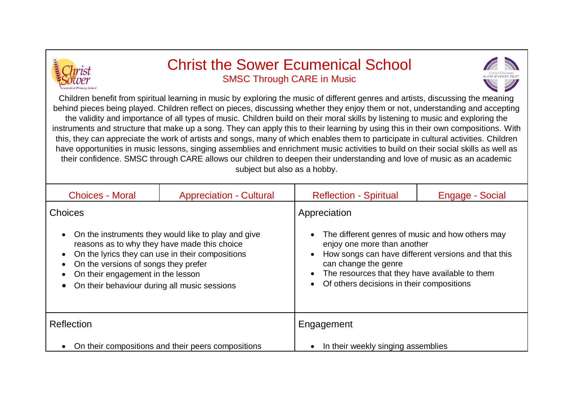

## Christ the Sower Ecumenical School SMSC Through CARE in Music



Children benefit from spiritual learning in music by exploring the music of different genres and artists, discussing the meaning behind pieces being played. Children reflect on pieces, discussing whether they enjoy them or not, understanding and accepting the validity and importance of all types of music. Children build on their moral skills by listening to music and exploring the instruments and structure that make up a song. They can apply this to their learning by using this in their own compositions. With this, they can appreciate the work of artists and songs, many of which enables them to participate in cultural activities. Children have opportunities in music lessons, singing assemblies and enrichment music activities to build on their social skills as well as their confidence. SMSC through CARE allows our children to deepen their understanding and love of music as an academic subject but also as a hobby.

| <b>Choices - Moral</b>                                                                                                                                                                                                                     | <b>Appreciation - Cultural</b> | <b>Reflection - Spiritual</b>                                                                                                                                                                               | Engage - Social |
|--------------------------------------------------------------------------------------------------------------------------------------------------------------------------------------------------------------------------------------------|--------------------------------|-------------------------------------------------------------------------------------------------------------------------------------------------------------------------------------------------------------|-----------------|
| <b>Choices</b><br>On the instruments they would like to play and give<br>$\bullet$                                                                                                                                                         |                                | Appreciation<br>The different genres of music and how others may                                                                                                                                            |                 |
| reasons as to why they have made this choice<br>On the lyrics they can use in their compositions<br>$\bullet$<br>On the versions of songs they prefer<br>On their engagement in the lesson<br>On their behaviour during all music sessions |                                | enjoy one more than another<br>How songs can have different versions and that this<br>can change the genre<br>The resources that they have available to them<br>• Of others decisions in their compositions |                 |
| Reflection                                                                                                                                                                                                                                 |                                | Engagement                                                                                                                                                                                                  |                 |
| On their compositions and their peers compositions<br>$\bullet$                                                                                                                                                                            |                                | In their weekly singing assemblies                                                                                                                                                                          |                 |